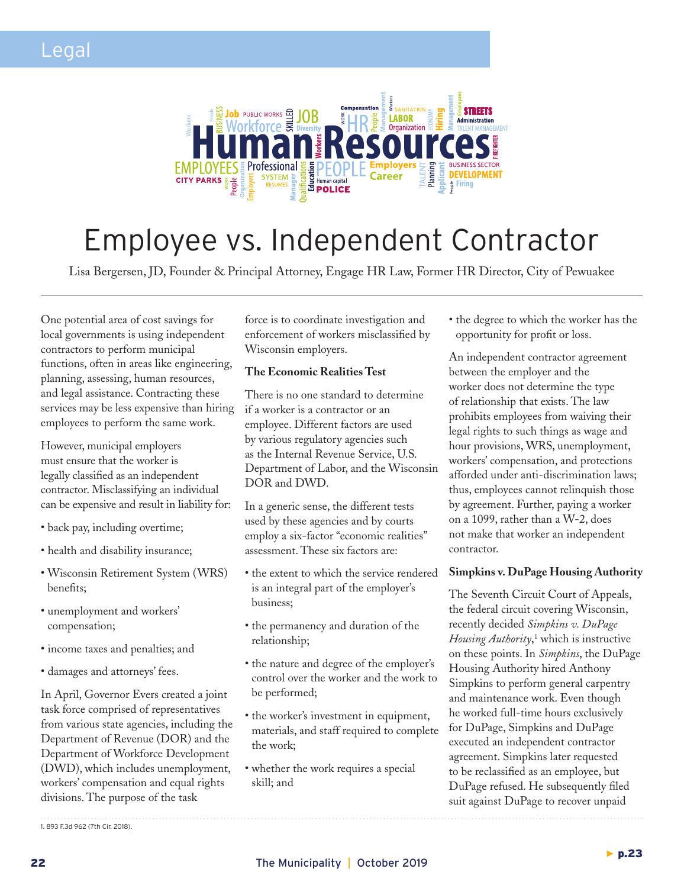

## Employee vs. Independent Contractor

Lisa Bergersen, JD, Founder & Principal Attorney, Engage HR Law, Former HR Director, City of Pewuakee

One potential area of cost savings for local governments is using independent contractors to perform municipal functions, often in areas like engineering, planning, assessing, human resources, and legal assistance. Contracting these services may be less expensive than hiring employees to perform the same work.

However, municipal employers must ensure that the worker is legally classified as an independent contractor. Misclassifying an individual can be expensive and result in liability for:

- back pay, including overtime;
- health and disability insurance;
- Wisconsin Retirement System (WRS) benefits;
- unemployment and workers' compensation;
- income taxes and penalties; and
- damages and attorneys' fees.

In April, Governor Evers created a joint task force comprised of representatives from various state agencies, including the Department of Revenue (DOR) and the Department of Workforce Development (DWD), which includes unemployment, workers' compensation and equal rights divisions. The purpose of the task

force is to coordinate investigation and enforcement of workers misclassified by Wisconsin employers.

### **The Economic Realities Test**

There is no one standard to determine if a worker is a contractor or an employee. Different factors are used by various regulatory agencies such as the Internal Revenue Service, U.S. Department of Labor, and the Wisconsin DOR and DWD.

In a generic sense, the different tests used by these agencies and by courts employ a six-factor "economic realities" assessment. These six factors are:

- the extent to which the service rendered is an integral part of the employer's business;
- the permanency and duration of the relationship;
- the nature and degree of the employer's control over the worker and the work to be performed;
- the worker's investment in equipment, materials, and staff required to complete the work;
- whether the work requires a special skill; and

• the degree to which the worker has the opportunity for profit or loss.

An independent contractor agreement between the employer and the worker does not determine the type of relationship that exists. The law prohibits employees from waiving their legal rights to such things as wage and hour provisions, WRS, unemployment, workers' compensation, and protections afforded under anti-discrimination laws; thus, employees cannot relinquish those by agreement. Further, paying a worker on a 1099, rather than a W-2, does not make that worker an independent contractor.

#### **Simpkins v. DuPage Housing Authority**

The Seventh Circuit Court of Appeals, the federal circuit covering Wisconsin, recently decided *Simpkins v. DuPage Housing Authority*, 1 which is instructive on these points. In *Simpkins*, the DuPage Housing Authority hired Anthony Simpkins to perform general carpentry and maintenance work. Even though he worked full-time hours exclusively for DuPage, Simpkins and DuPage executed an independent contractor agreement. Simpkins later requested to be reclassified as an employee, but DuPage refused. He subsequently filed suit against DuPage to recover unpaid

<sup>1. 893</sup> F.3d 962 (7th Cir. 2018).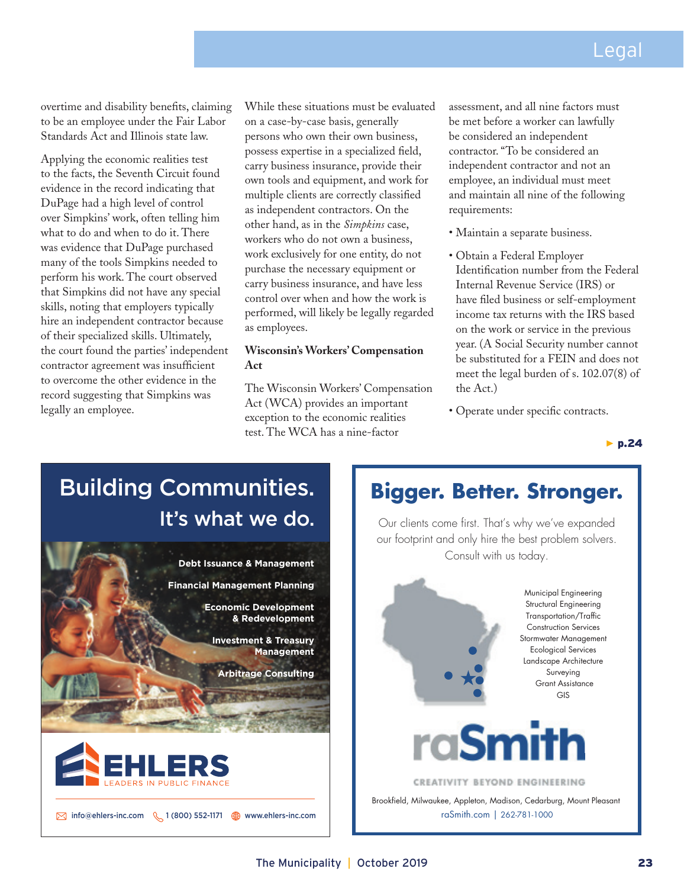overtime and disability benefits, claiming to be an employee under the Fair Labor Standards Act and Illinois state law.

Applying the economic realities test to the facts, the Seventh Circuit found evidence in the record indicating that DuPage had a high level of control over Simpkins' work, often telling him what to do and when to do it. There was evidence that DuPage purchased many of the tools Simpkins needed to perform his work. The court observed that Simpkins did not have any special skills, noting that employers typically hire an independent contractor because of their specialized skills. Ultimately, the court found the parties' independent contractor agreement was insufficient to overcome the other evidence in the record suggesting that Simpkins was legally an employee.

While these situations must be evaluated on a case-by-case basis, generally persons who own their own business, possess expertise in a specialized field, carry business insurance, provide their own tools and equipment, and work for multiple clients are correctly classified as independent contractors. On the other hand, as in the *Simpkins* case, workers who do not own a business, work exclusively for one entity, do not purchase the necessary equipment or carry business insurance, and have less control over when and how the work is performed, will likely be legally regarded as employees.

### **Wisconsin's Workers' Compensation Act**

The Wisconsin Workers' Compensation Act (WCA) provides an important exception to the economic realities test. The WCA has a nine-factor

assessment, and all nine factors must be met before a worker can lawfully be considered an independent contractor. "To be considered an independent contractor and not an employee, an individual must meet and maintain all nine of the following requirements:

- Maintain a separate business.
- Obtain a Federal Employer Identification number from the Federal Internal Revenue Service (IRS) or have filed business or self-employment income tax returns with the IRS based on the work or service in the previous year. (A Social Security number cannot be substituted for a FEIN and does not meet the legal burden of s. 102.07(8) of the Act.)
- Operate under specific contracts.

*▶* p.24

## Building Communities. It's what we do.



# **Bigger. Better. Stronger.**

Our clients come first. That's why we've expanded our footprint and only hire the best problem solvers. Consult with us today.



raSmith.com | 262-781-1000 Brookfield, Milwaukee, Appleton, Madison, Cedarburg, Mount Pleasant